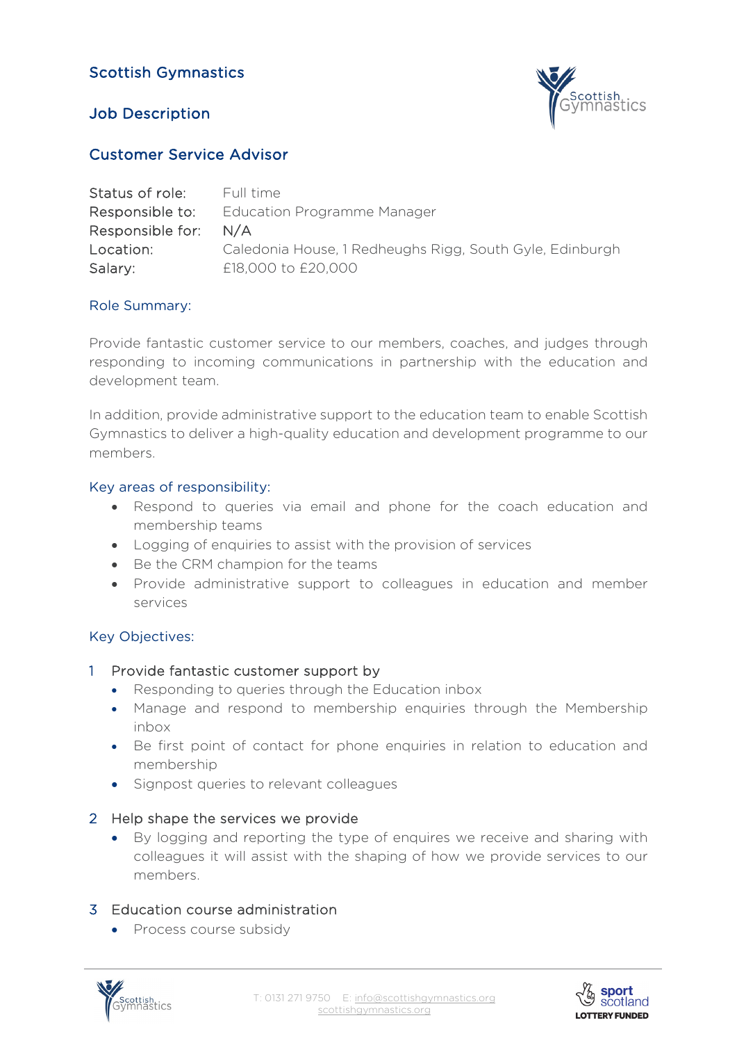# Scottish Gymnastics





### Customer Service Advisor

| Status of role:  | Full time                                                |
|------------------|----------------------------------------------------------|
| Responsible to:  | Education Programme Manager                              |
| Responsible for: | N/A                                                      |
| Location:        | Caledonia House, 1 Redheughs Rigg, South Gyle, Edinburgh |
| Salary:          | £18,000 to £20,000                                       |

### Role Summary:

Provide fantastic customer service to our members, coaches, and judges through responding to incoming communications in partnership with the education and development team.

In addition, provide administrative support to the education team to enable Scottish Gymnastics to deliver a high-quality education and development programme to our members.

#### Key areas of responsibility:

- Respond to queries via email and phone for the coach education and membership teams
- Logging of enquiries to assist with the provision of services
- Be the CRM champion for the teams
- Provide administrative support to colleagues in education and member services

### Key Objectives:

### 1 Provide fantastic customer support by

- Responding to queries through the Education inbox
- Manage and respond to membership enquiries through the Membership inbox
- Be first point of contact for phone enquiries in relation to education and membership
- Signpost queries to relevant colleagues

### 2 Help shape the services we provide

• By logging and reporting the type of enquires we receive and sharing with colleagues it will assist with the shaping of how we provide services to our members.

### 3 Education course administration

• Process course subsidy



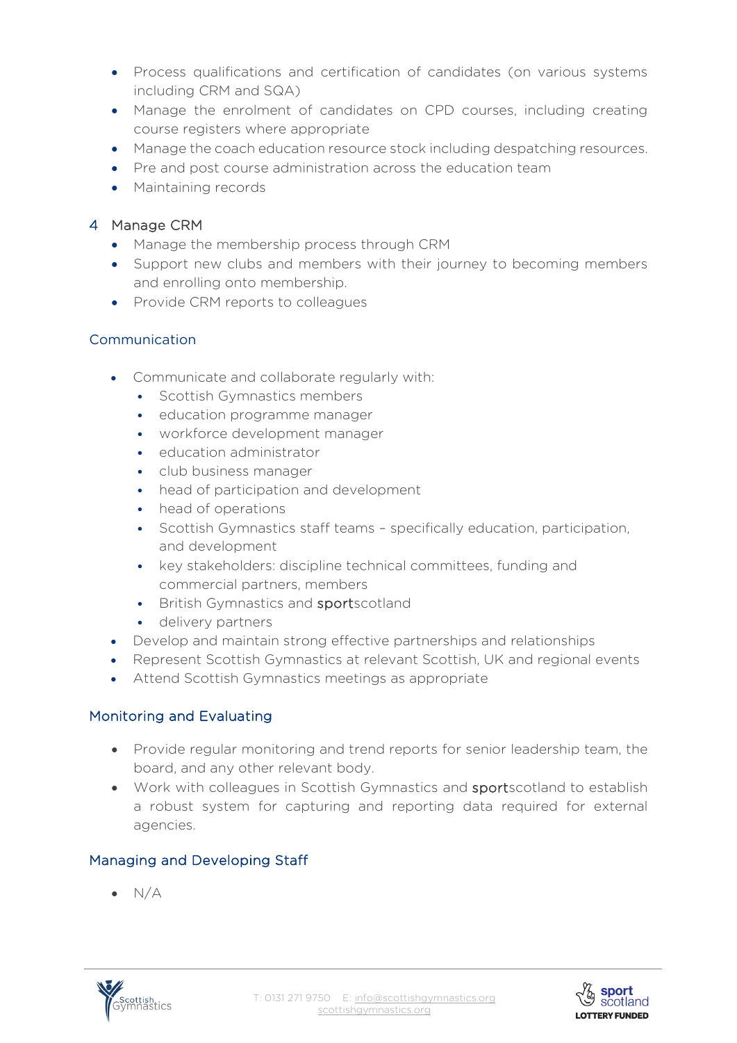- Process qualifications and certification of candidates (on various systems including CRM and SQA)
- Manage the enrolment of candidates on CPD courses, including creating course registers where appropriate
- Manage the coach education resource stock including despatching resources.
- Pre and post course administration across the education team
- Maintaining records

### 4 Manage CRM

- Manage the membership process through CRM
- Support new clubs and members with their journey to becoming members and enrolling onto membership.
- Provide CRM reports to colleagues

## Communication

- Communicate and collaborate regularly with:
	- Scottish Gymnastics members
	- education programme manager
	- workforce development manager
	- education administrator
	- club business manager
	- head of participation and development
	- head of operations
	- Scottish Gymnastics staff teams specifically education, participation, and development
	- key stakeholders: discipline technical committees, funding and commercial partners, members
	- British Gymnastics and sportscotland
	- delivery partners
- Develop and maintain strong effective partnerships and relationships
- Represent Scottish Gymnastics at relevant Scottish, UK and regional events
- Attend Scottish Gymnastics meetings as appropriate

### Monitoring and Evaluating

- Provide regular monitoring and trend reports for senior leadership team, the board, and any other relevant body.
- Work with colleagues in Scottish Gymnastics and sportscotland to establish a robust system for capturing and reporting data required for external agencies.

### Managing and Developing Staff

 $\bullet$  N/A



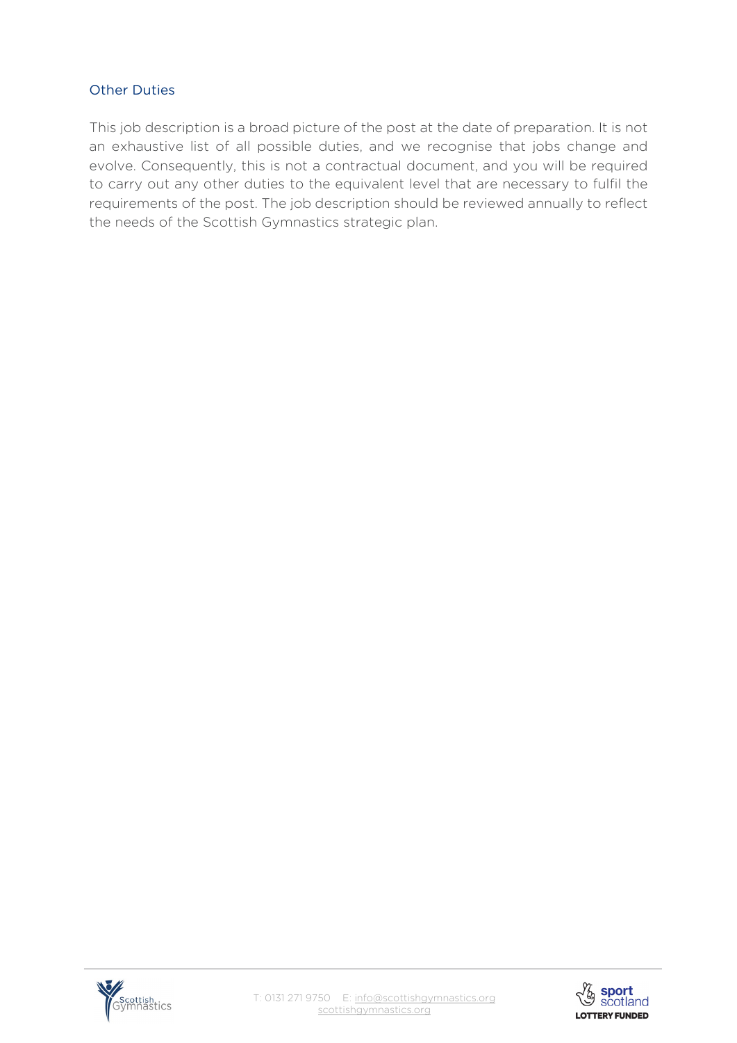### Other Duties

This job description is a broad picture of the post at the date of preparation. It is not an exhaustive list of all possible duties, and we recognise that jobs change and evolve. Consequently, this is not a contractual document, and you will be required to carry out any other duties to the equivalent level that are necessary to fulfil the requirements of the post. The job description should be reviewed annually to reflect the needs of the Scottish Gymnastics strategic plan.



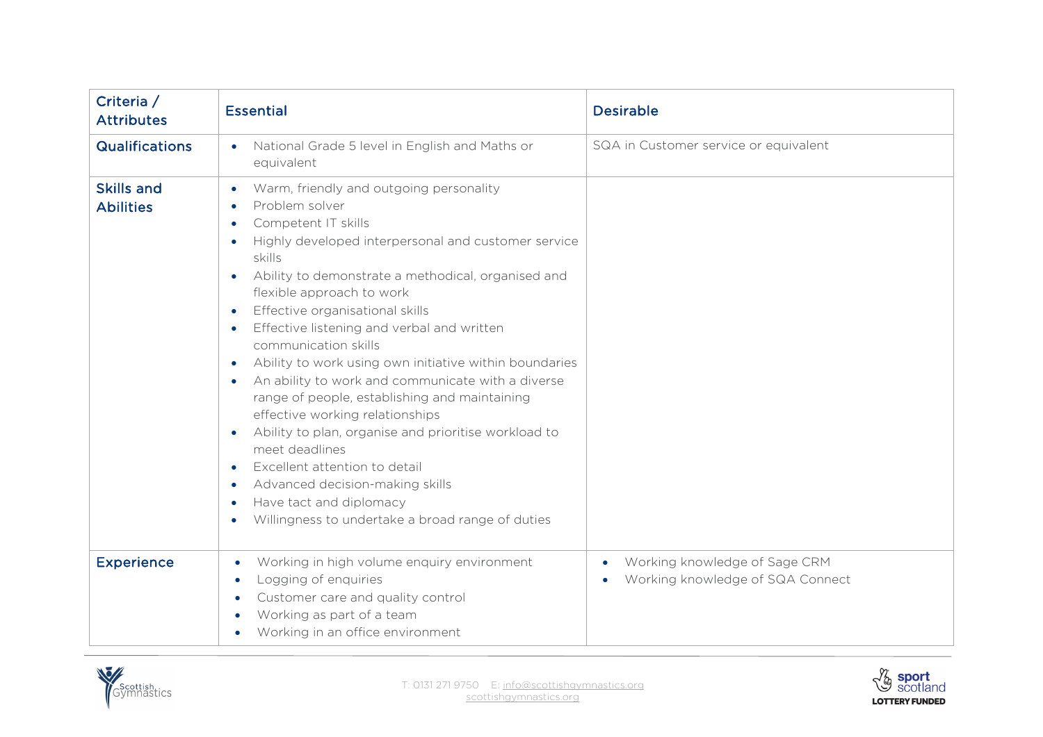| Criteria /<br><b>Attributes</b>       | <b>Essential</b>                                                                                                                                                                                                                                                                                                                                                                                                                                                                                                                                                                                                                                                                                                                                                                                                                                                                                                                                                    | <b>Desirable</b>                                                                            |
|---------------------------------------|---------------------------------------------------------------------------------------------------------------------------------------------------------------------------------------------------------------------------------------------------------------------------------------------------------------------------------------------------------------------------------------------------------------------------------------------------------------------------------------------------------------------------------------------------------------------------------------------------------------------------------------------------------------------------------------------------------------------------------------------------------------------------------------------------------------------------------------------------------------------------------------------------------------------------------------------------------------------|---------------------------------------------------------------------------------------------|
| <b>Qualifications</b>                 | National Grade 5 level in English and Maths or<br>$\bullet$<br>equivalent                                                                                                                                                                                                                                                                                                                                                                                                                                                                                                                                                                                                                                                                                                                                                                                                                                                                                           | SQA in Customer service or equivalent                                                       |
| <b>Skills and</b><br><b>Abilities</b> | Warm, friendly and outgoing personality<br>$\bullet$<br>Problem solver<br>$\bullet$<br>Competent IT skills<br>$\bullet$<br>Highly developed interpersonal and customer service<br>$\bullet$<br>skills<br>Ability to demonstrate a methodical, organised and<br>$\bullet$<br>flexible approach to work<br>Effective organisational skills<br>$\bullet$<br>Effective listening and verbal and written<br>$\bullet$<br>communication skills<br>Ability to work using own initiative within boundaries<br>$\bullet$<br>An ability to work and communicate with a diverse<br>$\bullet$<br>range of people, establishing and maintaining<br>effective working relationships<br>Ability to plan, organise and prioritise workload to<br>$\bullet$<br>meet deadlines<br>Excellent attention to detail<br>$\bullet$<br>Advanced decision-making skills<br>$\bullet$<br>Have tact and diplomacy<br>$\bullet$<br>Willingness to undertake a broad range of duties<br>$\bullet$ |                                                                                             |
| <b>Experience</b>                     | Working in high volume enquiry environment<br>$\bullet$<br>Logging of enquiries<br>Customer care and quality control<br>Working as part of a team<br>Working in an office environment                                                                                                                                                                                                                                                                                                                                                                                                                                                                                                                                                                                                                                                                                                                                                                               | Working knowledge of Sage CRM<br>$\bullet$<br>Working knowledge of SQA Connect<br>$\bullet$ |